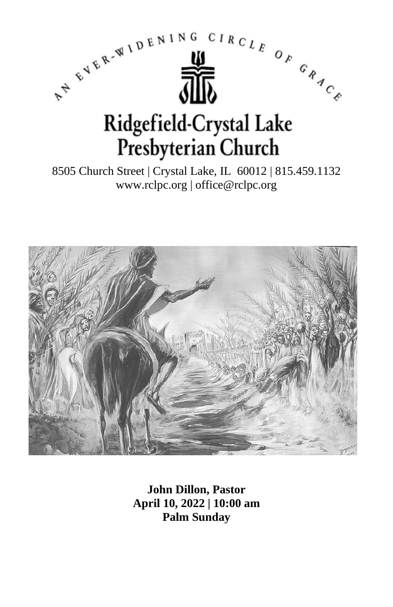

8505 Church Street | Crystal Lake, IL 60012 | 815.459.1132 www.rclpc.org | office@rclpc.org



**John Dillon, Pastor April 10, 2022 | 10:00 am Palm Sunday**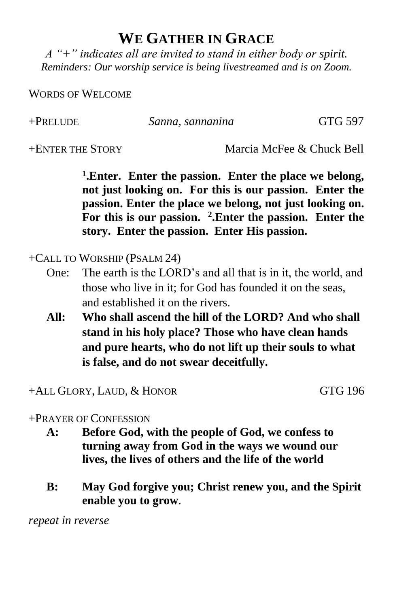## **WE GATHER IN GRACE**

*A "+" indicates all are invited to stand in either body or spirit. Reminders: Our worship service is being livestreamed and is on Zoom.*

WORDS OF WELCOME

+PRELUDE *Sanna, sannanina* GTG 597

+ENTER THE STORY Marcia McFee & Chuck Bell

**1 .Enter. Enter the passion. Enter the place we belong, not just looking on. For this is our passion. Enter the passion. Enter the place we belong, not just looking on. For this is our passion. <sup>2</sup> .Enter the passion. Enter the story. Enter the passion. Enter His passion.**

+CALL TO WORSHIP (PSALM 24)

- One: The earth is the LORD's and all that is in it, the world, and those who live in it; for God has founded it on the seas, and established it on the rivers.
- **All: Who shall ascend the hill of the LORD? And who shall stand in his holy place? Those who have clean hands and pure hearts, who do not lift up their souls to what is false, and do not swear deceitfully.**

+ALL GLORY, LAUD, & HONOR GTG 196

## +PRAYER OF CONFESSION

- **A: Before God, with the people of God, we confess to turning away from God in the ways we wound our lives, the lives of others and the life of the world**
- **B: May God forgive you; Christ renew you, and the Spirit enable you to grow**.

*repeat in reverse*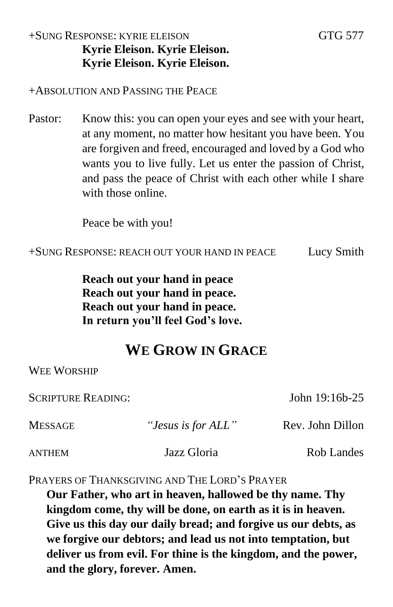## +SUNG RESPONSE: KYRIE ELEISON GTG 577 **Kyrie Eleison. Kyrie Eleison. Kyrie Eleison. Kyrie Eleison.**

#### +ABSOLUTION AND PASSING THE PEACE

Pastor: Know this: you can open your eyes and see with your heart, at any moment, no matter how hesitant you have been. You are forgiven and freed, encouraged and loved by a God who wants you to live fully. Let us enter the passion of Christ, and pass the peace of Christ with each other while I share with those online.

Peace be with you!

+SUNG RESPONSE: REACH OUT YOUR HAND IN PEACE Lucy Smith

**Reach out your hand in peace Reach out your hand in peace. Reach out your hand in peace. In return you'll feel God's love.**

# **WE GROW IN GRACE**

WEE WORSHIP

SCRIPTURE READING: John 19:16b-25

| <b>MESSAGE</b> | "Jesus is for ALL" | Rev. John Dillon |
|----------------|--------------------|------------------|
| <b>ANTHEM</b>  | Jazz Gloria        | Rob Landes       |

PRAYERS OF THANKSGIVING AND THE LORD'S PRAYER

**Our Father, who art in heaven, hallowed be thy name. Thy kingdom come, thy will be done, on earth as it is in heaven. Give us this day our daily bread; and forgive us our debts, as we forgive our debtors; and lead us not into temptation, but deliver us from evil. For thine is the kingdom, and the power, and the glory, forever. Amen.**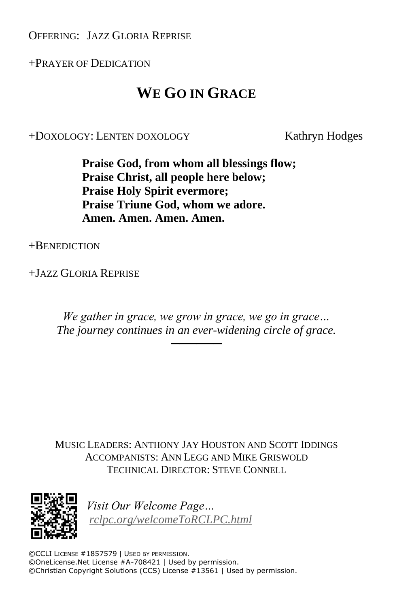OFFERING: JAZZ GLORIA REPRISE

+PRAYER OF DEDICATION

# **WE GO IN GRACE**

+DOXOLOGY: LENTEN DOXOLOGY Kathryn Hodges

**Praise God, from whom all blessings flow; Praise Christ, all people here below; Praise Holy Spirit evermore; Praise Triune God, whom we adore. Amen. Amen. Amen. Amen.**

+BENEDICTION

+JAZZ GLORIA REPRISE

*We gather in grace, we grow in grace, we go in grace… The journey continues in an ever-widening circle of grace.*

──────

MUSIC LEADERS: ANTHONY JAY HOUSTON AND SCOTT IDDINGS ACCOMPANISTS: ANN LEGG AND MIKE GRISWOLD TECHNICAL DIRECTOR: STEVE CONNELL



*Visit Our Welcome Page… [rclpc.org/welcomeToRCLPC.html](http://rclpc.org/welcomeToRCLPC.html)*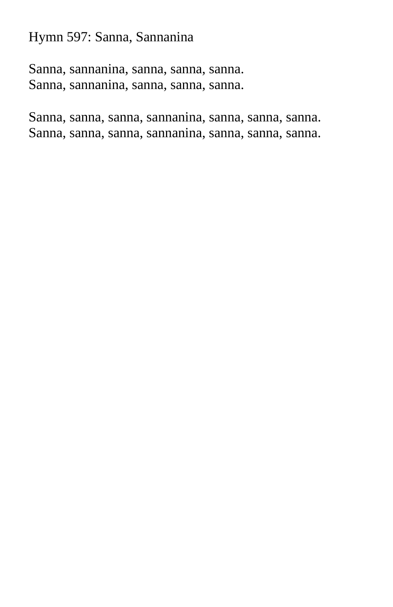Hymn 597: Sanna, Sannanina

Sanna, sannanina, sanna, sanna, sanna. Sanna, sannanina, sanna, sanna, sanna.

Sanna, sanna, sanna, sannanina, sanna, sanna, sanna. Sanna, sanna, sanna, sannanina, sanna, sanna, sanna.